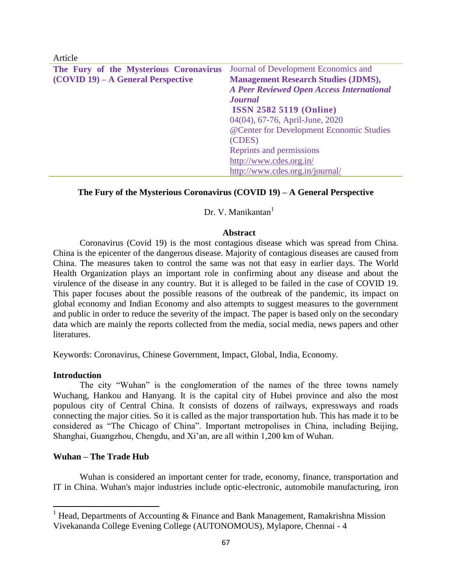Article

| The Fury of the Mysterious Coronavirus | Journal of Development Economics and             |
|----------------------------------------|--------------------------------------------------|
| $(COVID 19) - A General Perspective$   | <b>Management Research Studies (JDMS),</b>       |
|                                        | <b>A Peer Reviewed Open Access International</b> |
|                                        | <b>Journal</b>                                   |
|                                        | <b>ISSN 2582 5119 (Online)</b>                   |
|                                        | 04(04), 67-76, April-June, 2020                  |
|                                        | @Center for Development Economic Studies         |
|                                        | (CDES)                                           |
|                                        | Reprints and permissions                         |
|                                        | http://www.cdes.org.in/                          |
|                                        | http://www.cdes.org.in/journal/                  |

### **The Fury of the Mysterious Coronavirus (COVID 19) – A General Perspective**

Dr. V. Manikantan<sup>1</sup>

#### **Abstract**

Coronavirus (Covid 19) is the most contagious disease which was spread from China. China is the epicenter of the dangerous disease. Majority of contagious diseases are caused from China. The measures taken to control the same was not that easy in earlier days. The World Health Organization plays an important role in confirming about any disease and about the virulence of the disease in any country. But it is alleged to be failed in the case of COVID 19. This paper focuses about the possible reasons of the outbreak of the pandemic, its impact on global economy and Indian Economy and also attempts to suggest measures to the government and public in order to reduce the severity of the impact. The paper is based only on the secondary data which are mainly the reports collected from the media, social media, news papers and other literatures.

Keywords: Coronavirus, Chinese Government, Impact, Global, India, Economy.

#### **Introduction**

 $\overline{\phantom{a}}$ 

The city "Wuhan" is the conglomeration of the names of the three towns namely Wuchang, Hankou and Hanyang. It is the capital city of Hubei province and also the most populous city of Central China. It consists of dozens of railways, expressways and roads connecting the major cities. So it is called as the major transportation hub. This has made it to be considered as "The Chicago of China". Important metropolises in China, including Beijing, Shanghai, Guangzhou, Chengdu, and Xi'an, are all within 1,200 km of Wuhan.

#### **Wuhan – The Trade Hub**

Wuhan is considered an important center for trade, economy, finance, transportation and IT in China. Wuhan's major industries include optic-electronic, automobile manufacturing, iron

<sup>&</sup>lt;sup>1</sup> Head, Departments of Accounting & Finance and Bank Management, Ramakrishna Mission Vivekananda College Evening College (AUTONOMOUS), Mylapore, Chennai - 4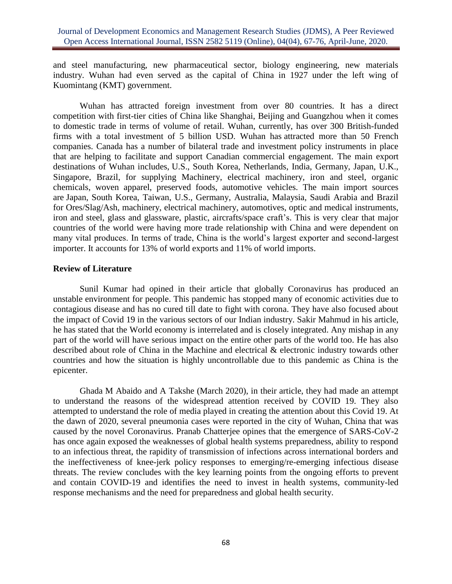and steel manufacturing, new pharmaceutical sector, biology engineering, new materials industry. Wuhan had even served as the capital of China in 1927 under the left wing of Kuomintang (KMT) government.

Wuhan has attracted foreign investment from over 80 countries. It has a direct competition with first-tier cities of China like Shanghai, Beijing and Guangzhou when it comes to domestic trade in terms of volume of retail. Wuhan, currently, has over 300 British-funded firms with a total investment of 5 billion USD. Wuhan has attracted more than 50 French companies. Canada has a number of bilateral trade and investment policy instruments in place that are helping to facilitate and support Canadian commercial engagement. The main export destinations of Wuhan includes, U.S., South Korea, Netherlands, India, Germany, Japan, U.K., Singapore, Brazil, for supplying Machinery, electrical machinery, iron and steel, organic chemicals, woven apparel, preserved foods, automotive vehicles. The main import sources are Japan, South Korea, Taiwan, U.S., Germany, Australia, Malaysia, Saudi Arabia and Brazil for Ores/Slag/Ash, machinery, electrical machinery, automotives, optic and medical instruments, iron and steel, glass and glassware, plastic, aircrafts/space craft's. This is very clear that major countries of the world were having more trade relationship with China and were dependent on many vital produces. In terms of trade, China is the world's largest exporter and second-largest importer. It accounts for 13% of world exports and 11% of world imports.

### **Review of Literature**

Sunil Kumar had opined in their article that globally Coronavirus has produced an unstable environment for people. This pandemic has stopped many of economic activities due to contagious disease and has no cured till date to fight with corona. They have also focused about the impact of Covid 19 in the various sectors of our Indian industry. Sakir Mahmud in his article, he has stated that the World economy is interrelated and is closely integrated. Any mishap in any part of the world will have serious impact on the entire other parts of the world too. He has also described about role of China in the Machine and electrical & electronic industry towards other countries and how the situation is highly uncontrollable due to this pandemic as China is the epicenter.

Ghada M Abaido and A Takshe (March 2020), in their article, they had made an attempt to understand the reasons of the widespread attention received by COVID 19. They also attempted to understand the role of media played in creating the attention about this Covid 19. At the dawn of 2020, several pneumonia cases were reported in the city of Wuhan, China that was caused by the novel Coronavirus. Pranab Chatterjee opines that the emergence of SARS-CoV-2 has once again exposed the weaknesses of global health systems preparedness, ability to respond to an infectious threat, the rapidity of transmission of infections across international borders and the ineffectiveness of knee-jerk policy responses to emerging/re-emerging infectious disease threats. The review concludes with the key learning points from the ongoing efforts to prevent and contain COVID-19 and identifies the need to invest in health systems, community-led response mechanisms and the need for preparedness and global health security.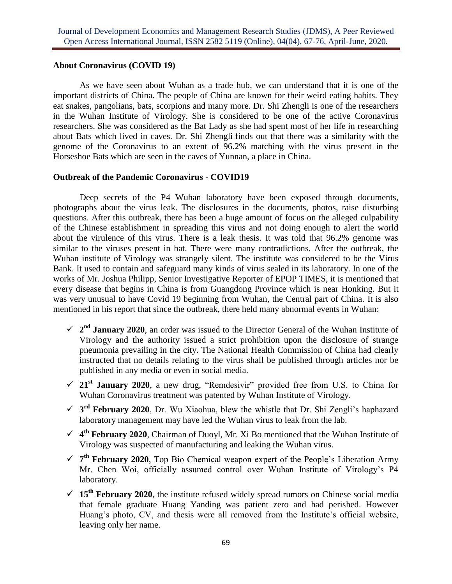### **About Coronavirus (COVID 19)**

As we have seen about Wuhan as a trade hub, we can understand that it is one of the important districts of China. The people of China are known for their weird eating habits. They eat snakes, pangolians, bats, scorpions and many more. Dr. Shi Zhengli is one of the researchers in the Wuhan Institute of Virology. She is considered to be one of the active Coronavirus researchers. She was considered as the Bat Lady as she had spent most of her life in researching about Bats which lived in caves. Dr. Shi Zhengli finds out that there was a similarity with the genome of the Coronavirus to an extent of 96.2% matching with the virus present in the Horseshoe Bats which are seen in the caves of Yunnan, a place in China.

### **Outbreak of the Pandemic Coronavirus - COVID19**

Deep secrets of the P4 Wuhan laboratory have been exposed through documents, photographs about the virus leak. The disclosures in the documents, photos, raise disturbing questions. After this outbreak, there has been a huge amount of focus on the alleged culpability of the Chinese establishment in spreading this virus and not doing enough to alert the world about the virulence of this virus. There is a leak thesis. It was told that 96.2% genome was similar to the viruses present in bat. There were many contradictions. After the outbreak, the Wuhan institute of Virology was strangely silent. The institute was considered to be the Virus Bank. It used to contain and safeguard many kinds of virus sealed in its laboratory. In one of the works of Mr. Joshua Philipp, Senior Investigative Reporter of EPOP TIMES, it is mentioned that every disease that begins in China is from Guangdong Province which is near Honking. But it was very unusual to have Covid 19 beginning from Wuhan, the Central part of China. It is also mentioned in his report that since the outbreak, there held many abnormal events in Wuhan:

- $\sim$  2<sup>nd</sup> **January 2020**, an order was issued to the Director General of the Wuhan Institute of Virology and the authority issued a strict prohibition upon the disclosure of strange pneumonia prevailing in the city. The National Health Commission of China had clearly instructed that no details relating to the virus shall be published through articles nor be published in any media or even in social media.
- **21st January 2020**, a new drug, "Remdesivir" provided free from U.S. to China for Wuhan Coronavirus treatment was patented by Wuhan Institute of Virology.
- **3 rd February 2020**, Dr. Wu Xiaohua, blew the whistle that Dr. Shi Zengli's haphazard laboratory management may have led the Wuhan virus to leak from the lab.
- $\checkmark$  4<sup>th</sup> February 2020, Chairman of Duoyl, Mr. Xi Bo mentioned that the Wuhan Institute of Virology was suspected of manufacturing and leaking the Wuhan virus.
- $\check{\mathcal{F}}$  **7<sup>th</sup> February 2020**, Top Bio Chemical weapon expert of the People's Liberation Army Mr. Chen Woi, officially assumed control over Wuhan Institute of Virology's P4 laboratory.
- $\checkmark$  15<sup>th</sup> February 2020, the institute refused widely spread rumors on Chinese social media that female graduate Huang Yanding was patient zero and had perished. However Huang's photo, CV, and thesis were all removed from the Institute's official website, leaving only her name.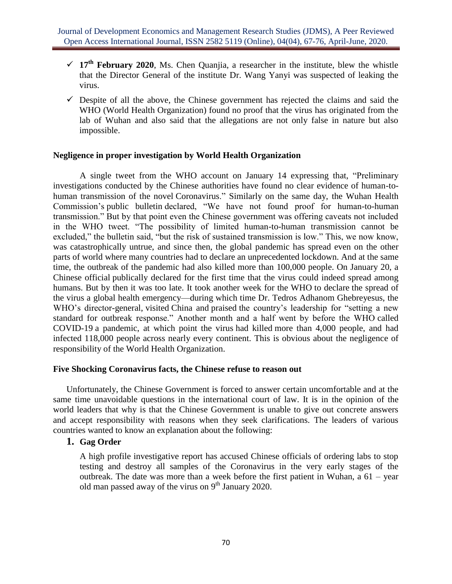- $\checkmark$  17<sup>th</sup> February 2020, Ms. Chen Quanjia, a researcher in the institute, blew the whistle that the Director General of the institute Dr. Wang Yanyi was suspected of leaking the virus.
- $\checkmark$  Despite of all the above, the Chinese government has rejected the claims and said the WHO (World Health Organization) found no proof that the virus has originated from the lab of Wuhan and also said that the allegations are not only false in nature but also impossible.

### **Negligence in proper investigation by World Health Organization**

A single tweet from the WHO account on January 14 expressing that, "Preliminary investigations conducted by the Chinese authorities have found no clear evidence of human-tohuman transmission of the novel [Coronavirus.](https://twitter.com/hashtag/coronavirus?src=hashtag_click)" Similarly on the same day, the Wuhan Health Commission's [public bulletin](https://qz.com/1801985/the-changing-coronavirus-outbreak-narrative-pushed-by-china/) declared, "We have not found proof for human-to-human transmission." But by that point even the Chinese government was offering caveats not included in the WHO tweet. "The possibility of limited human-to-human transmission cannot be excluded," the bulletin said, "but the risk of sustained transmission is low." This, we now know, was catastrophically untrue, and since then, the global pandemic has spread even on the other parts of world where many countries had to declare an unprecedented lockdown. And at the same time, the outbreak of the pandemic had also killed more than 100,000 people. On January 20, a Chinese official publically declared for the first time that the virus could indeed spread among humans. But by then it was too late. It took another week for the WHO [to declare](https://www.bbc.com/news/world-51318246) the spread of the virus a global health emergency—during which time Dr. Tedros Adhanom Ghebreyesus, the WHO's director-general, [visited](https://www.cfr.org/blog/who-and-china-dereliction-duty) China and [praised](https://www.who.int/dg/speeches/detail/who-director-general-s-statement-on-ihr-emergency-committee-on-novel-coronavirus-(2019-ncov)) the country's leadership for "setting a new standard for outbreak response." Another month and a half went by before the WHO [called](http://www.euro.who.int/en/health-topics/health-emergencies/coronavirus-covid-19/news/news/2020/3/who-announces-covid-19-outbreak-a-pandemic)  [COVID-19](http://www.euro.who.int/en/health-topics/health-emergencies/coronavirus-covid-19/news/news/2020/3/who-announces-covid-19-outbreak-a-pandemic) a pandemic, at which point the virus [had killed](https://www.cnn.com/2020/03/11/health/coronavirus-pandemic-world-health-organization/index.html) more than 4,000 people, and had infected 118,000 people across nearly every continent. This is obvious about the negligence of responsibility of the World Health Organization.

### **Five Shocking Coronavirus facts, the Chinese refuse to reason out**

Unfortunately, the Chinese Government is forced to answer certain uncomfortable and at the same time unavoidable questions in the international court of law. It is in the opinion of the world leaders that why is that the Chinese Government is unable to give out concrete answers and accept responsibility with reasons when they seek clarifications. The leaders of various countries wanted to know an explanation about the following:

### **1. Gag Order**

A high profile investigative report has accused Chinese officials of ordering labs to stop testing and destroy all samples of the Coronavirus in the very early stages of the outbreak. The date was more than a week before the first patient in Wuhan, a 61 – year old man passed away of the virus on  $9<sup>th</sup>$  January 2020.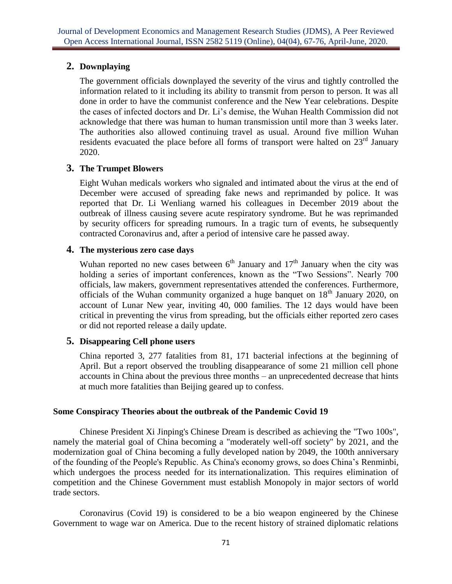# **2. Downplaying**

The government officials downplayed the severity of the virus and tightly controlled the information related to it including its ability to transmit from person to person. It was all done in order to have the communist conference and the New Year celebrations. Despite the cases of infected doctors and Dr. Li's demise, the Wuhan Health Commission did not acknowledge that there was human to human transmission until more than 3 weeks later. The authorities also allowed continuing travel as usual. Around five million Wuhan residents evacuated the place before all forms of transport were halted on  $23<sup>rd</sup>$  January 2020.

# **3. The Trumpet Blowers**

Eight Wuhan medicals workers who signaled and intimated about the virus at the end of December were accused of spreading fake news and reprimanded by police. It was reported that Dr. Li Wenliang warned his colleagues in December 2019 about the outbreak of illness causing severe acute respiratory syndrome. But he was reprimanded by security officers for spreading rumours. In a tragic turn of events, he subsequently contracted Coronavirus and, after a period of intensive care he passed away.

# **4. The mysterious zero case days**

Wuhan reported no new cases between  $6<sup>th</sup>$  January and  $17<sup>th</sup>$  January when the city was holding a series of important conferences, known as the "Two Sessions". Nearly 700 officials, law makers, government representatives attended the conferences. Furthermore, officials of the Wuhan community organized a huge banquet on  $18<sup>th</sup>$  January 2020, on account of Lunar New year, inviting 40, 000 families. The 12 days would have been critical in preventing the virus from spreading, but the officials either reported zero cases or did not reported release a daily update.

# **5. Disappearing Cell phone users**

China reported 3, 277 fatalities from 81, 171 bacterial infections at the beginning of April. But a report observed the troubling disappearance of some 21 million cell phone accounts in China about the previous three months – an unprecedented decrease that hints at much more fatalities than Beijing geared up to confess.

## **Some Conspiracy Theories about the outbreak of the Pandemic Covid 19**

Chinese President [Xi Jinping's](https://en.wikipedia.org/wiki/Xi_Jinping) [Chinese Dream](https://en.wikipedia.org/wiki/Chinese_Dream) is described as achieving the "Two 100s", namely the material goal of China becoming a "moderately well-off society" by 2021, and the modernization goal of China becoming a [fully developed nation](https://en.wikipedia.org/wiki/Developed_nation) by 2049, the 100th anniversary of the founding of the People's Republic. As China's economy grows, so does China's [Renminbi,](https://en.wikipedia.org/wiki/Renminbi) which undergoes the process needed for its [internationalization.](https://en.wikipedia.org/wiki/Internationalization_of_the_renminbi) This requires elimination of competition and the Chinese Government must establish Monopoly in major sectors of world trade sectors.

Coronavirus (Covid 19) is considered to be a bio weapon engineered by the Chinese Government to wage war on America. Due to the recent history of strained diplomatic relations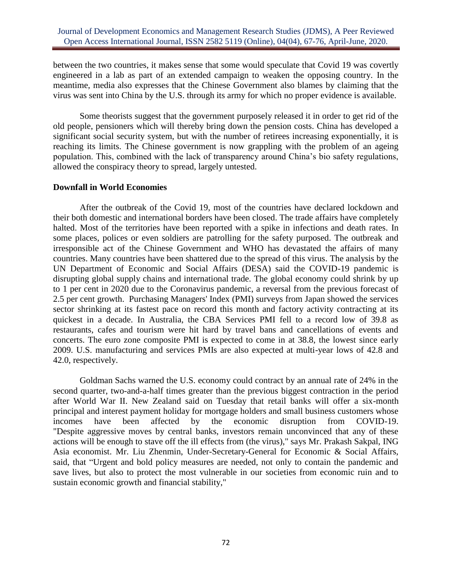between the two countries, it makes sense that some would speculate that Covid 19 was covertly engineered in a lab as part of an extended campaign to weaken the opposing country. In the meantime, media also expresses that the Chinese Government also blames by claiming that the virus was sent into China by the U.S. through its army for which no proper evidence is available.

Some theorists suggest that the government purposely released it in order to get rid of the old people, pensioners which will thereby bring down the pension costs. China has developed a significant social security system, but with the number of retirees increasing exponentially, it is reaching its limits. The Chinese government is now grappling with the problem of an ageing population. This, combined with the lack of transparency around China's bio safety regulations, allowed the conspiracy theory to spread, largely untested.

### **Downfall in World Economies**

After the outbreak of the Covid 19, most of the countries have declared lockdown and their both domestic and international borders have been closed. The trade affairs have completely halted. Most of the territories have been reported with a spike in infections and death rates. In some places, polices or even soldiers are patrolling for the safety purposed. The outbreak and irresponsible act of the Chinese Government and WHO has devastated the affairs of many countries. Many countries have been shattered due to the spread of this virus. The analysis by the UN Department of Economic and Social Affairs (DESA) said the COVID-19 pandemic is disrupting global supply chains and international trade. The global economy could shrink by up to 1 per cent in 2020 due to the Coronavirus pandemic, a reversal from the previous forecast of 2.5 per cent growth. Purchasing Managers' Index (PMI) surveys from Japan showed the services sector shrinking at its fastest pace on record this month and factory activity contracting at its quickest in a decade. In Australia, the CBA Services PMI fell to a record low of 39.8 as restaurants, cafes and tourism were hit hard by travel bans and cancellations of events and concerts. The euro zone composite PMI is expected to come in at 38.8, the lowest since early 2009. U.S. manufacturing and services PMIs are also expected at multi-year lows of 42.8 and 42.0, respectively.

Goldman Sachs warned the U.S. economy could contract by an annual rate of 24% in the second quarter, two-and-a-half times greater than the previous biggest contraction in the period after World War II. New Zealand said on Tuesday that retail banks will offer a six-month principal and interest payment holiday for mortgage holders and small business customers whose incomes have been affected by the economic disruption from COVID-19. "Despite aggressive moves by central banks, investors remain unconvinced that any of these actions will be enough to stave off the ill effects from (the virus)," says Mr. Prakash Sakpal, ING Asia economist. Mr. Liu Zhenmin, Under-Secretary-General for Economic & Social Affairs, said, that "Urgent and bold policy measures are needed, not only to contain the pandemic and save lives, but also to protect the most vulnerable in our societies from economic ruin and to sustain economic growth and financial stability,"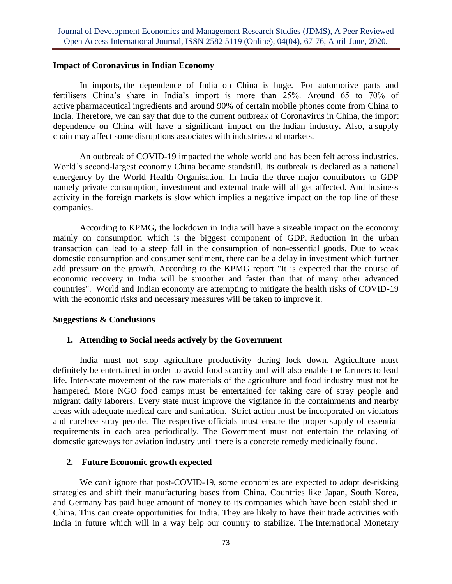### **Impact of Coronavirus in Indian Economy**

In imports**,** the dependence of India on China is huge. For automotive parts and fertilisers China's share in India's import is more than 25%. Around 65 to 70% of active pharmaceutical ingredients and around 90% of certain mobile phones come from China to India. Therefore, we can say that due to the current outbreak of Coronavirus in China, the import dependence on China will have a significant impact on the Indian industry**.** Also, a supply chain may affect some disruptions associates with industries and markets.

An outbreak of COVID-19 impacted the whole world and has been felt across industries. World's second-largest economy China became standstill. Its outbreak is declared as a national emergency by the World Health Organisation. In India the three major contributors to GDP namely private consumption, investment and external trade will all get affected. And business activity in the foreign markets is slow which implies a negative impact on the top line of these companies.

According to KPMG**,** the lockdown in India will have a sizeable impact on the economy mainly on consumption which is the biggest component of GDP. Reduction in the urban transaction can lead to a steep fall in the consumption of non-essential goods. Due to weak domestic consumption and consumer sentiment, there can be a delay in investment which further add pressure on the growth. According to the KPMG report "It is expected that the course of economic recovery in India will be smoother and faster than that of many other advanced countries". World and Indian economy are attempting to mitigate the health risks of COVID-19 with the economic risks and necessary measures will be taken to improve it.

#### **Suggestions & Conclusions**

### **1. Attending to Social needs actively by the Government**

India must not stop agriculture productivity during lock down. Agriculture must definitely be entertained in order to avoid food scarcity and will also enable the farmers to lead life. Inter-state movement of the raw materials of the agriculture and food industry must not be hampered. More NGO food camps must be entertained for taking care of stray people and migrant daily laborers. Every state must improve the vigilance in the containments and nearby areas with adequate medical care and sanitation. Strict action must be incorporated on violators and carefree stray people. The respective officials must ensure the proper supply of essential requirements in each area periodically. The Government must not entertain the relaxing of domestic gateways for aviation industry until there is a concrete remedy medicinally found.

### **2. Future Economic growth expected**

We can't ignore that post-COVID-19, some economies are expected to adopt de-risking strategies and shift their manufacturing bases from China. Countries like Japan, South Korea, and Germany has paid huge amount of money to its companies which have been established in China. This can create opportunities for India. They are likely to have their trade activities with India in future which will in a way help our country to stabilize. The [International Monetary](https://en.wikipedia.org/wiki/International_Monetary_Fund)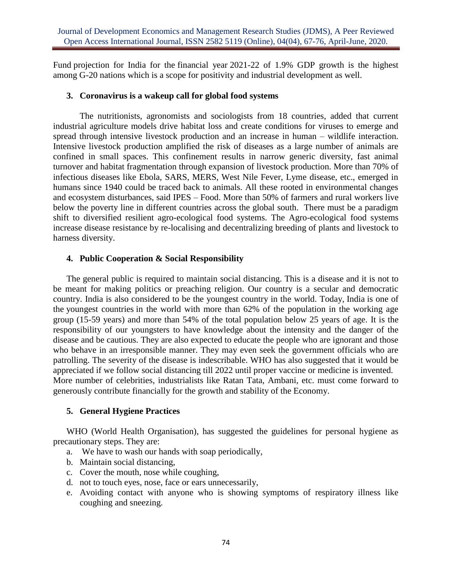Fund projection for India for the [financial year](https://en.wikipedia.org/wiki/Financial_Year) 2021-22 of 1.9% GDP growth is the highest among [G-20](https://en.wikipedia.org/wiki/G20) nations which is a scope for positivity and industrial development as well.

### **3. Coronavirus is a wakeup call for global food systems**

The nutritionists, agronomists and sociologists from 18 countries, added that current industrial agriculture models drive habitat loss and create conditions for viruses to emerge and spread through intensive livestock production and an increase in human – wildlife interaction. Intensive livestock production amplified the risk of diseases as a large number of animals are confined in small spaces. This confinement results in narrow generic diversity, fast animal turnover and habitat fragmentation through expansion of livestock production. More than 70% of infectious diseases like Ebola, SARS, MERS, West Nile Fever, Lyme disease, etc., emerged in humans since 1940 could be traced back to animals. All these rooted in environmental changes and ecosystem disturbances, said IPES – Food. More than 50% of farmers and rural workers live below the poverty line in different countries across the global south. There must be a paradigm shift to diversified resilient agro-ecological food systems. The Agro-ecological food systems increase disease resistance by re-localising and decentralizing breeding of plants and livestock to harness diversity.

## **4. Public Cooperation & Social Responsibility**

The general public is required to maintain social distancing. This is a disease and it is not to be meant for making politics or preaching religion. Our country is a secular and democratic country. India is also considered to be the youngest country in the world. Today, India is one of the youngest countries in the world with more than 62% of the population in the working age group (15-59 years) and more than 54% of the total population below 25 years of age. It is the responsibility of our youngsters to have knowledge about the intensity and the danger of the disease and be cautious. They are also expected to educate the people who are ignorant and those who behave in an irresponsible manner. They may even seek the government officials who are patrolling. The severity of the disease is indescribable. WHO has also suggested that it would be appreciated if we follow social distancing till 2022 until proper vaccine or medicine is invented. More number of celebrities, industrialists like Ratan Tata, Ambani, etc. must come forward to generously contribute financially for the growth and stability of the Economy.

## **5. General Hygiene Practices**

WHO (World Health Organisation), has suggested the guidelines for personal hygiene as precautionary steps. They are:

- a. We have to wash our hands with soap periodically,
- b. Maintain social distancing,
- c. Cover the mouth, nose while coughing,
- d. not to touch eyes, nose, face or ears unnecessarily,
- e. Avoiding contact with anyone who is showing symptoms of respiratory illness like coughing and sneezing.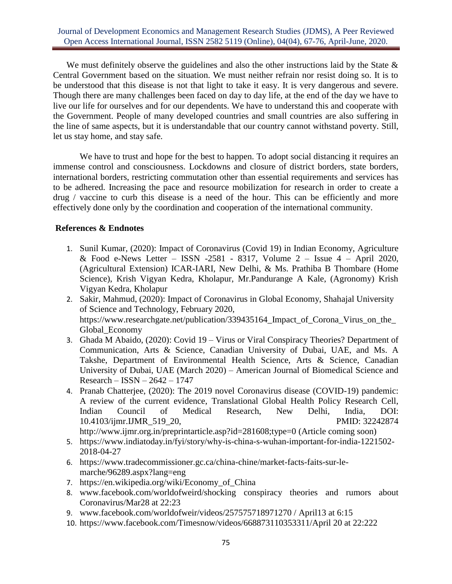We must definitely observe the guidelines and also the other instructions laid by the State  $\&$ Central Government based on the situation. We must neither refrain nor resist doing so. It is to be understood that this disease is not that light to take it easy. It is very dangerous and severe. Though there are many challenges been faced on day to day life, at the end of the day we have to live our life for ourselves and for our dependents. We have to understand this and cooperate with the Government. People of many developed countries and small countries are also suffering in the line of same aspects, but it is understandable that our country cannot withstand poverty. Still, let us stay home, and stay safe.

We have to trust and hope for the best to happen. To adopt social distancing it requires an immense control and consciousness. Lockdowns and closure of district borders, state borders, international borders, restricting commutation other than essential requirements and services has to be adhered. Increasing the pace and resource mobilization for research in order to create a drug / vaccine to curb this disease is a need of the hour. This can be efficiently and more effectively done only by the coordination and cooperation of the international community.

## **References & Endnotes**

- 1. Sunil Kumar, (2020): Impact of Coronavirus (Covid 19) in Indian Economy, Agriculture & Food e-News Letter – ISSN -2581 - 8317, Volume 2 – Issue 4 – April 2020, (Agricultural Extension) ICAR-IARI, New Delhi, & Ms. Prathiba B Thombare (Home Science), Krish Vigyan Kedra, Kholapur, Mr.Pandurange A Kale, (Agronomy) Krish Vigyan Kedra, Kholapur
- 2. Sakir, Mahmud, (2020): Impact of Coronavirus in Global Economy, Shahajal University of Science and Technology, February 2020, [https://www.researchgate.net/publication/339435164\\_Impact\\_of\\_Corona\\_Virus\\_on\\_the\\_](https://www.researchgate.net/publication/339435164_Impact_of_Corona_Virus_on_the_Global_Economy) [Global\\_Economy](https://www.researchgate.net/publication/339435164_Impact_of_Corona_Virus_on_the_Global_Economy)
- 3. Ghada M Abaido, (2020): Covid 19 Virus or Viral Conspiracy Theories? Department of Communication, Arts & Science, Canadian University of Dubai, UAE, and Ms. A Takshe, Department of Environmental Health Science, Arts & Science, Canadian University of Dubai, UAE (March 2020) – American Journal of Biomedical Science and Research – ISSN – 2642 – 1747
- 4. Pranab Chatterjee, (2020): The 2019 novel Coronavirus disease (COVID-19) pandemic: A review of the current evidence, Translational Global Health Policy Research Cell, Indian Council of Medical Research, New Delhi, India, DOI: 10.4103/ijmr.IJMR\_519\_20, PMID: 32242874 <http://www.ijmr.org.in/preprintarticle.asp?id=281608;type=0> (Article coming soon)
- 5. [https://www.indiatoday.in/fyi/story/why-is-china-s-wuhan-important-for-india-1221502-](https://www.indiatoday.in/fyi/story/why-is-china-s-wuhan-important-for-india-1221502-2018-04-27) [2018-04-27](https://www.indiatoday.in/fyi/story/why-is-china-s-wuhan-important-for-india-1221502-2018-04-27)
- 6. [https://www.tradecommissioner.gc.ca/china-chine/market-facts-faits-sur-le](https://www.tradecommissioner.gc.ca/china-chine/market-facts-faits-sur-le-marche/96289.aspx?lang=eng)[marche/96289.aspx?lang=eng](https://www.tradecommissioner.gc.ca/china-chine/market-facts-faits-sur-le-marche/96289.aspx?lang=eng)
- 7. [https://en.wikipedia.org/wiki/Economy\\_of\\_China](https://en.wikipedia.org/wiki/Economy_of_China)
- 8. [www.facebook.com/worldofweird/shocking](http://www.facebook.com/worldofweird/shocking) conspiracy theories and rumors about Coronavirus/Mar28 at 22:23
- 9. [www.facebook.com/worldofweir/videos/257575718971270 /](http://www.facebook.com/worldofweir/videos/257575718971270%20/%20April13) April13 at 6:15
- 10. [https://www.facebook.com/Timesnow/videos/668873110353311/April 20 at 22:222](https://www.facebook.com/Timesnow/videos/668873110353311/April%2020%20at%2022:222)